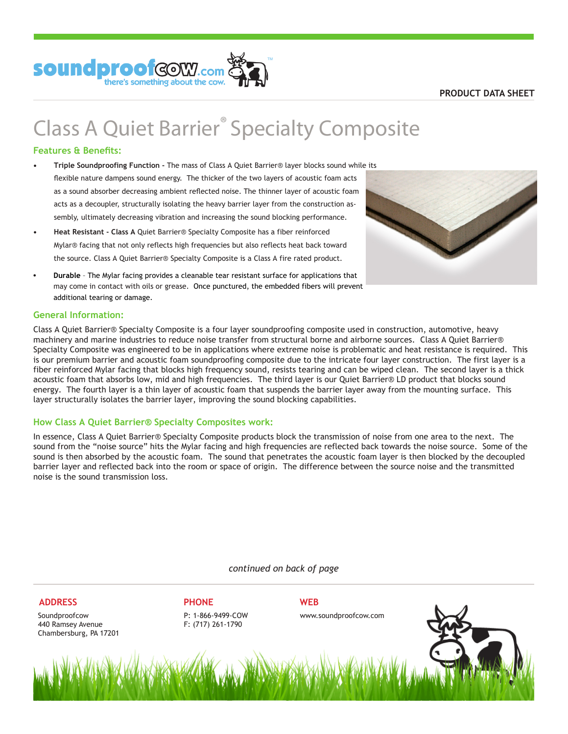

# **Class A Quiet Barrier® Specialty Composite**

# **Features & Benefits:**

- **Triple Soundproofing Function** The mass of Class A Quiet Barrier® layer blocks sound while its flexible nature dampens sound energy. The thicker of the two layers of acoustic foam acts as a sound absorber decreasing ambient reflected noise. The thinner layer of acoustic foam acts as a decoupler, structurally isolating the heavy barrier layer from the construction assembly, ultimately decreasing vibration and increasing the sound blocking performance. **•**
- **Heat Resistant Class A** Quiet Barrier® Specialty Composite has a fiber reinforced Mylar® facing that not only reflects high frequencies but also reflects heat back toward the source. Class A Quiet Barrier® Specialty Composite is a Class A fire rated product. **•**
- **• Durable** – The Mylar facing provides a cleanable tear resistant surface for applications that may come in contact with oils or grease. Once punctured, the embedded fibers will prevent additional tearing or damage.

# **General Information:**

Class A Quiet Barrier® Specialty Composite is a four layer soundproofing composite used in construction, automotive, heavy machinery and marine industries to reduce noise transfer from structural borne and airborne sources. Class A Quiet Barrier® Specialty Composite was engineered to be in applications where extreme noise is problematic and heat resistance is required. This is our premium barrier and acoustic foam soundproofing composite due to the intricate four layer construction. The first layer is a fiber reinforced Mylar facing that blocks high frequency sound, resists tearing and can be wiped clean. The second layer is a thick acoustic foam that absorbs low, mid and high frequencies. The third layer is our Quiet Barrier® LD product that blocks sound energy. The fourth layer is a thin layer of acoustic foam that suspends the barrier layer away from the mounting surface. This layer structurally isolates the barrier layer, improving the sound blocking capabilities.

### **How Class A Quiet Barrier® Specialty Composites work:**

In essence, Class A Quiet Barrier® Specialty Composite products block the transmission of noise from one area to the next. The sound from the "noise source" hits the Mylar facing and high frequencies are reflected back towards the noise source. Some of the sound is then absorbed by the acoustic foam. The sound that penetrates the acoustic foam layer is then blocked by the decoupled barrier layer and reflected back into the room or space of origin. The difference between the source noise and the transmitted noise is the sound transmission loss.

*continued on back of page*